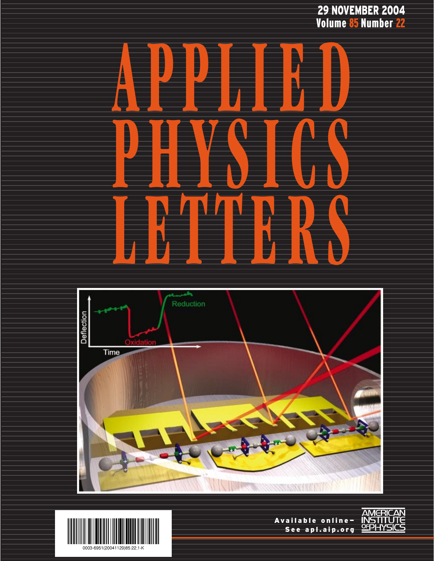29 NOVEMBER 2004 Volume <mark>85 N</mark>umber <mark>22</mark>





![](_page_0_Picture_3.jpeg)

Available online— See apl.aip.org

![](_page_0_Picture_5.jpeg)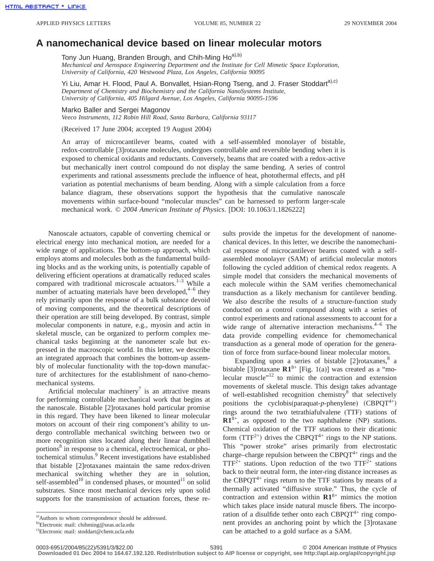## **A nanomechanical device based on linear molecular motors**

Tony Jun Huang, Branden Brough, and Chih-Ming Ho<sup>a),b)</sup>

*Mechanical and Aerospace Engineering Department and the Institute for Cell Mimetic Space Exploration, University of California, 420 Westwood Plaza, Los Angeles, California 90095*

Yi Liu, Amar H. Flood, Paul A. Bonvallet, Hsian-Rong Tseng, and J. Fraser Stoddarta),c) *Department of Chemistry and Biochemistry and the California NanoSystems Institute, University of California, 405 Hilgard Avenue, Los Angeles, California 90095-1596*

Marko Baller and Sergei Magonov *Veeco Instruments, 112 Robin Hill Road, Santa Barbara, California 93117*

(Received 17 June 2004; accepted 19 August 2004)

An array of microcantilever beams, coated with a self-assembled monolayer of bistable, redox-controllable [3]rotaxane molecules, undergoes controllable and reversible bending when it is exposed to chemical oxidants and reductants. Conversely, beams that are coated with a redox-active but mechanically inert control compound do not display the same bending. A series of control experiments and rational assessments preclude the influence of heat, photothermal effects, and pH variation as potential mechanisms of beam bending. Along with a simple calculation from a force balance diagram, these observations support the hypothesis that the cumulative nanoscale movements within surface-bound "molecular muscles" can be harnessed to perform larger-scale mechanical work. © *2004 American Institute of Physics*. [DOI: 10.1063/1.1826222]

Nanoscale actuators, capable of converting chemical or electrical energy into mechanical motion, are needed for a wide range of applications. The bottom-up approach, which employs atoms and molecules both as the fundamental building blocks and as the working units, is potentially capable of delivering efficient operations at dramatically reduced scales compared with traditional microscale actuators. $1-3$  While a number of actuating materials have been developed, $4-6$  they rely primarily upon the response of a bulk substance devoid of moving components, and the theoretical descriptions of their operation are still being developed. By contrast, simple molecular components in nature, e.g., myosin and actin in skeletal muscle, can be organized to perform complex mechanical tasks beginning at the nanometer scale but expressed in the macroscopic world. In this letter, we describe an integrated approach that combines the bottom-up assembly of molecular functionality with the top-down manufacture of architectures for the establishment of nano-chemomechanical systems.

Artificial molecular machinery<sup>7</sup> is an attractive means for performing controllable mechanical work that begins at the nanoscale. Bistable [2]rotaxanes hold particular promise in this regard. They have been likened to linear molecular motors on account of their ring component's ability to undergo controllable mechanical switching between two or more recognition sites located along their linear dumbbell portions<sup>8</sup> in response to a chemical, electrochemical, or photochemical stimulus.<sup>9</sup> Recent investigations have established that bistable [2]rotaxanes maintain the same redox-driven mechanical switching whether they are in solution, self-assembled<sup>10</sup> in condensed phases, or mounted<sup>11</sup> on solid substrates. Since most mechanical devices rely upon solid supports for the transmission of actuation forces, these results provide the impetus for the development of nanomechanical devices. In this letter, we describe the nanomechanical response of microcantilever beams coated with a selfassembled monolayer (SAM) of artificial molecular motors following the cycled addition of chemical redox reagents. A simple model that considers the mechanical movements of each molecule within the SAM verifies chemomechanical transduction as a likely mechanism for cantilever bending. We also describe the results of a structure-function study conducted on a control compound along with a series of control experiments and rational assessments to account for a wide range of alternative interaction mechanisms.<sup>4-6</sup> The data provide compelling evidence for chemomechanical transduction as a general mode of operation for the generation of force from surface-bound linear molecular motors.

Expanding upon a series of bistable [2] rotaxanes, $8$  a bistable [3]rotaxane **R1**8+ [Fig. 1(a)] was created as a "molecular muscle $n<sup>12</sup>$  to mimic the contraction and extension movements of skeletal muscle. This design takes advantage of well-established recognition chemistry<sup>8</sup> that selectively positions the cyclobis(paraquat-p-phenylene)  $(CBPQT^{4+})$ rings around the two tetrathiafulvalene (TTF) stations of **R1**8+, as opposed to the two naphthalene (NP) stations. Chemical oxidation of the TTF stations to their dicationic form  $(TTF^{2+})$  drives the CBPQT<sup>4+</sup> rings to the NP stations. This "power stroke" arises primarily from electrostatic charge–charge repulsion between the CBPQT<sup>4+</sup> rings and the  $TTF^{2+}$  stations. Upon reduction of the two  $TTF^{2+}$  stations back to their neutral form, the inter-ring distance increases as the CBPQT<sup>4+</sup> rings return to the TTF stations by means of a thermally activated "diffusive stroke." Thus, the cycle of contraction and extension within **R1**8+ mimics the motion which takes place inside natural muscle fibers. The incorporation of a disulfide tether onto each  $CBPQT^{4+}$  ring component provides an anchoring point by which the [3]rotaxane can be attached to a gold surface as a SAM.

a) Authors to whom correspondence should be addressed.

b) Electronic mail: chihming@seas.ucla.edu

c) Electronic mail: stoddart@chem.ucla.edu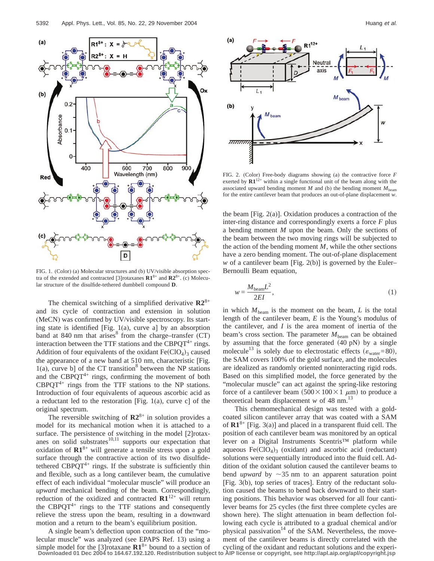![](_page_2_Figure_1.jpeg)

FIG. 1. (Color) (a) Molecular structures and (b) UV/visible absorption spectra of the extended and contracted [3] rotaxanes  $\mathbb{R}1^{8+}$  and  $\mathbb{R}2^{8+}$ . (c) Molecular structure of the disulfide-tethered dumbbell compound **D**.

The chemical switching of a simplified derivative  $\mathbb{R}2^{8+}$ and its cycle of contraction and extension in solution (MeCN) was confirmed by UV/visible spectroscopy. Its starting state is identified [Fig. 1(a), curve a] by an absorption band at 840 nm that arises $8$  from the charge–transfer (CT) interaction between the TTF stations and the CBPQ $T^{4+}$  rings. Addition of four equivalents of the oxidant  $Fe(CIO<sub>4</sub>)<sub>3</sub>$  caused the appearance of a new band at 510 nm, characteristic [Fig.  $1(a)$ , curve b] of the CT transition<sup>8</sup> between the NP stations and the CBPQT<sup>4+</sup> rings, confirming the movement of both  $CBPQT^{4+}$  rings from the TTF stations to the NP stations. Introduction of four equivalents of aqueous ascorbic acid as a reductant led to the restoration [Fig. 1(a), curve c] of the original spectrum.

The reversible switching of  $\mathbb{R}2^{8+}$  in solution provides a model for its mechanical motion when it is attached to a surface. The persistence of switching in the model [2]rotaxanes on solid substrates $10,11$  supports our expectation that oxidation of **R1**8+ will generate a tensile stress upon a gold surface through the contractive action of its two disulfidetethered CBPQT<sup>4+</sup> rings. If the substrate is sufficiently thin and flexible, such as a long cantilever beam, the cumulative effect of each individual "molecular muscle" will produce an *upward* mechanical bending of the beam. Correspondingly, reduction of the oxidized and contracted **R1**12+ will return the CBPQT $4+$  rings to the TTF stations and consequently relieve the stress upon the beam, resulting in a downward motion and a return to the beam's equilibrium position.

A single beam's deflection upon contraction of the "molecular muscle" was analyzed (see EPAPS Ref. 13) using a simple model for the [3]rotaxane  $\mathbb{R}1^{8+}$  bound to a section of **Downloaded 01 Dec 2004 to 164.67.192.120. Redistribution subject to AIP license or copyright, see http://apl.aip.org/apl/copyright.jsp**

![](_page_2_Figure_7.jpeg)

FIG. 2. (Color) Free-body diagrams showing (a) the contractive force *F* exerted by  $\mathbf{R}1^{12+}$  within a single functional unit of the beam along with the associated upward bending moment  $M$  and (b) the bending moment  $M_{\text{beam}}$ for the entire cantilever beam that produces an out-of-plane displacement *w*.

the beam [Fig. 2(a)]. Oxidation produces a contraction of the inter-ring distance and correspondingly exerts a force *F* plus a bending moment *M* upon the beam. Only the sections of the beam between the two moving rings will be subjected to the action of the bending moment *M*, while the other sections have a zero bending moment. The out-of-plane displacement *w* of a cantilever beam [Fig. 2(b)] is governed by the Euler– Bernoulli Beam equation,

$$
w = \frac{M_{\text{beam}}L^2}{2EI},\tag{1}
$$

in which  $M_{\text{beam}}$  is the moment on the beam,  $L$  is the total length of the cantilever beam, *E* is the Young's modulus of the cantilever, and *I* is the area moment of inertia of the beam's cross section. The parameter  $M_{\text{beam}}$  can be obtained by assuming that the force generated  $(40 \text{ pN})$  by a single molecule<sup>13</sup> is solely due to electrostatic effects ( $\varepsilon_{\text{water}}$ =80), the SAM covers 100% of the gold surface, and the molecules are idealized as randomly oriented noninteracting rigid rods. Based on this simplified model, the force generated by the "molecular muscle" can act against the spring-like restoring force of a cantilever beam  $(500 \times 100 \times 1 \mu m)$  to produce a theoretical beam displacement  $w$  of 48 nm.<sup>13</sup>

This chemomechanical design was tested with a goldcoated silicon cantilever array that was coated with a SAM of  $\mathbb{R}1^{8+}$  [Fig. 3(a)] and placed in a transparent fluid cell. The position of each cantilever beam was monitored by an optical lever on a Digital Instruments Scentris™ platform while aqueous  $Fe(CIO<sub>4</sub>)$ <sub>3</sub> (oxidant) and ascorbic acid (reductant) solutions were sequentially introduced into the fluid cell. Addition of the oxidant solution caused the cantilever beams to bend *upward* by  $\sim$ 35 nm to an apparent saturation point [Fig. 3(b), top series of traces]. Entry of the reductant solution caused the beams to bend back downward to their starting positions. This behavior was observed for all four cantilever beams for 25 cycles (the first three complete cycles are shown here). The slight attenuation in beam deflection following each cycle is attributed to a gradual chemical and/or physical passivation<sup>14</sup> of the SAM. Nevertheless, the movement of the cantilever beams is directly correlated with the cycling of the oxidant and reductant solutions and the experi-